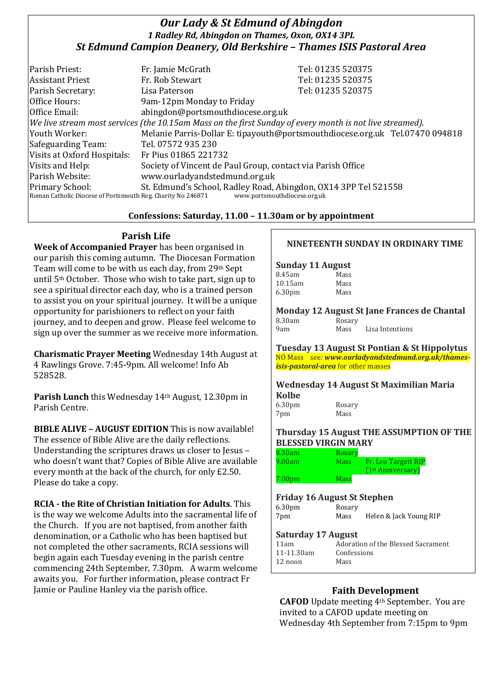# *Our Lady & St Edmund of Abingdon 1 Radley Rd, Abingdon on Thames, Oxon, OX14 3PL St Edmund Campion Deanery, Old Berkshire – Thames ISIS Pastoral Area*

| Parish Priest:                                                                                               | Fr. Jamie McGrath                                               | Tel: 01235 520375                                                            |
|--------------------------------------------------------------------------------------------------------------|-----------------------------------------------------------------|------------------------------------------------------------------------------|
| <b>Assistant Priest</b>                                                                                      | Fr. Rob Stewart                                                 | Tel: 01235 520375                                                            |
| Parish Secretary:                                                                                            | Lisa Paterson                                                   | Tel: 01235 520375                                                            |
| Office Hours:                                                                                                | 9am-12pm Monday to Friday                                       |                                                                              |
| Office Email:                                                                                                | abingdon@portsmouthdiocese.org.uk                               |                                                                              |
| $ $ We live stream most services (the 10.15am Mass on the first Sunday of every month is not live streamed). |                                                                 |                                                                              |
| Youth Worker:                                                                                                |                                                                 | Melanie Parris-Dollar E: tipayouth@portsmouthdiocese.org.uk Tel.07470 094818 |
| Safeguarding Team:                                                                                           | Tel. 07572 935 230                                              |                                                                              |
| Visits at Oxford Hospitals:                                                                                  | Fr Pius 01865 221732                                            |                                                                              |
| Visits and Help:                                                                                             | Society of Vincent de Paul Group, contact via Parish Office     |                                                                              |
| Parish Website:                                                                                              | www.ourladyandstedmund.org.uk                                   |                                                                              |
| <b>Primary School:</b>                                                                                       | St. Edmund's School, Radley Road, Abingdon, OX14 3PP Tel 521558 |                                                                              |
| Roman Catholic Diocese of Portsmouth Reg. Charity No 246871<br>www.portsmouthdiocese.org.uk                  |                                                                 |                                                                              |

# **Confessions: Saturday, 11.00 – 11.30am or by appointment**

# **Parish Life**

**Week of Accompanied Prayer** has been organised in our parish this coming autumn. The Diocesan Formation Team will come to be with us each day, from 29th Sept until 5th October. Those who wish to take part, sign up to see a spiritual director each day, who is a trained person to assist you on your spiritual journey. It will be a unique opportunity for parishioners to reflect on your faith journey, and to deepen and grow. Please feel welcome to sign up over the summer as we receive more information.

**Charismatic Prayer Meeting** Wednesday 14th August at 4 Rawlings Grove. 7:45-9pm. All welcome! Info Ab 528528.

**Parish Lunch** this Wednesday 14th August, 12.30pm in Parish Centre.

**BIBLE ALIVE – AUGUST EDITION** This is now available! The essence of Bible Alive are the daily reflections. Understanding the scriptures draws us closer to Jesus – who doesn't want that? Copies of Bible Alive are available every month at the back of the church, for only £2.50. Please do take a copy.

**RCIA - the Rite of Christian Initiation for Adults**. This is the way we welcome Adults into the sacramental life of the Church. If you are not baptised, from another faith denomination, or a Catholic who has been baptised but not completed the other sacraments, RCIA sessions will begin again each Tuesday evening in the parish centre commencing 24th September, 7.30pm. A warm welcome awaits you. For further information, please contract Fr Jamie or Pauline Hanley via the parish office. **Faith Development** 

# **NINETEENTH SUNDAY IN ORDINARY TIME**

### **Sunday 11 August**

| Mass |
|------|
| Mass |
| Mass |
|      |

**Monday 12 August St Jane Frances de Chantal** 8.30am Rosary

| ------------ | ------- |                 |
|--------------|---------|-----------------|
| 9am          | Mass    | Lisa Intentions |
|              |         |                 |

**Tuesday 13 August St Pontian & St Hippolytus** NO Mass see*: www.ourladyandstedmund.org.uk/thamesisis-pastoral-area* for other masses

**Wednesday 14 August St Maximilian Maria Kolbe**

6.30pm Rosary 7pm Mass

### **Thursday 15 August THE ASSUMPTION OF THE BLESSED VIRGIN MARY**

| 8.30am             | Rosary |                               |
|--------------------|--------|-------------------------------|
| 9.00am             | Mass   | Fr. Leo Targett RIP           |
|                    |        | (1 <sup>st</sup> Anniversary) |
| 7.00 <sub>pm</sub> | Mass   |                               |

# **Friday 16 August St Stephen**

| 6.30 <sub>pm</sub> | Rosary |                        |
|--------------------|--------|------------------------|
| 7pm                | Mass   | Helen & Jack Young RIP |

#### **Saturday 17 August**

| 11am       | Adoration of the Blessed Sacrament |
|------------|------------------------------------|
| 11-11.30am | Confessions                        |
| $12$ noon  | Mass                               |
|            |                                    |

**CAFOD** Update meeting 4th September. You are invited to a CAFOD update meeting on Wednesday 4th September from 7:15pm to 9pm